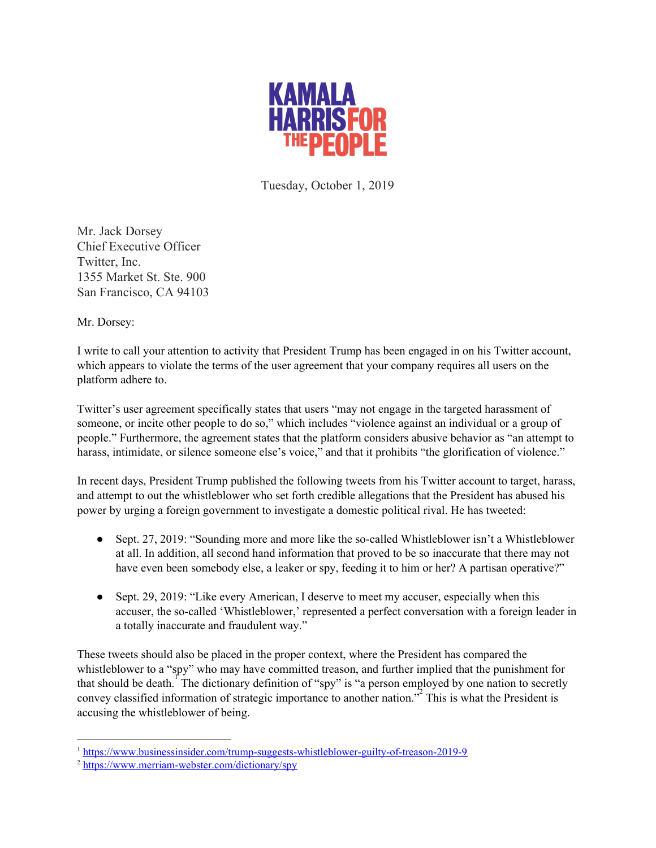

Tuesday, October 1, 2019

Mr. Jack Dorsey Chief Executive Officer Twitter, Inc. 1355 Market St. Ste. 900 San Francisco, CA 94103

Mr. Dorsey:

I write to call your attention to activity that President Trump has been engaged in on his Twitter account, which appears to violate the terms of the user agreement that your company requires all users on the platform adhere to.

Twitter's user agreement specifically states that users "may not engage in the targeted harassment of someone, or incite other people to do so," which includes "violence against an individual or a group of people." Furthermore, the agreement states that the platform considers abusive behavior as "an attempt to harass, intimidate, or silence someone else's voice," and that it prohibits "the glorification of violence."

In recent days, President Trump published the following tweets from his Twitter account to target, harass, and attempt to out the whistleblower who set forth credible allegations that the President has abused his power by urging a foreign government to investigate a domestic political rival. He has tweeted:

- Sept. 27, 2019: "Sounding more and more like the so-called Whistleblower isn't a Whistleblower at all. In addition, all second hand information that proved to be so inaccurate that there may not have even been somebody else, a leaker or spy, feeding it to him or her? A partisan operative?"
- Sept. 29, 2019: "Like every American, I deserve to meet my accuser, especially when this accuser, the so-called 'Whistleblower,' represented a perfect conversation with a foreign leader in a totally inaccurate and fraudulent way."

These tweets should also be placed in the proper context, where the President has compared the whistleblower to a "spy" who may have committed treason, and further implied that the punishment for that should be death.<sup>1</sup> The dictionary definition of "spy" is "a person employed by one nation to secretly convey classified information of strategic importance to another nation."<sup>2</sup> This is what the President is accusing the whistleblower of being.

<sup>&</sup>lt;sup>1</sup> <https://www.businessinsider.com/trump-suggests-whistleblower-guilty-of-treason-2019-9>

<sup>2</sup> <https://www.merriam-webster.com/dictionary/spy>